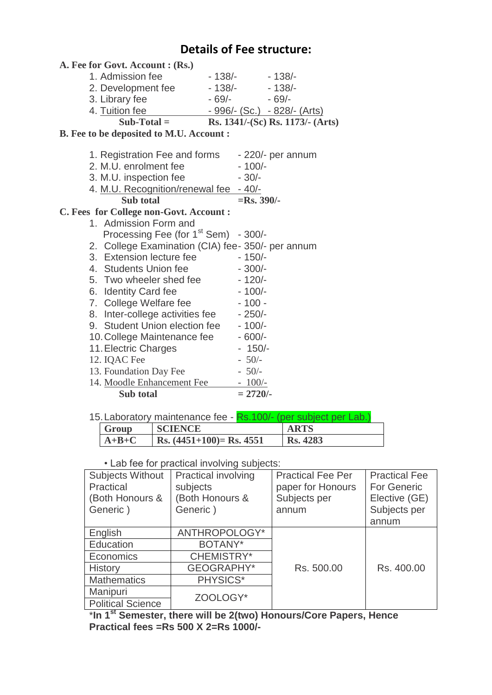## **Details of Fee structure:**

| A. Fee for Govt. Account : (Rs.)                 |                                                  |
|--------------------------------------------------|--------------------------------------------------|
| 1. Admission fee                                 | $-138/- -138/-$                                  |
| 2. Development fee                               | $-138/- -138/-$                                  |
| 3. Library fee                                   | $-69/- -69/-$                                    |
| 4. Tuition fee                                   | - 996/- (Sc.) - 828/- (Arts)                     |
| $Sub-Total =$                                    | Rs. 1341/-(Sc) Rs. 1173/- (Arts)                 |
| B. Fee to be deposited to M.U. Account :         |                                                  |
|                                                  |                                                  |
| 1. Registration Fee and forms                    | $-220/-$ per annum                               |
| 2. M.U. enrolment fee                            | $-100/-$                                         |
| 3. M.U. inspection fee                           | $-30/-$                                          |
| 4. M.U. Recognition/renewal fee                  | $-40/$                                           |
| Sub total                                        | $=$ Rs. 390/-                                    |
| C. Fees for College non-Govt. Account :          |                                                  |
| 1. Admission Form and                            |                                                  |
| Processing Fee (for 1 <sup>st</sup> Sem) - 300/- |                                                  |
|                                                  | 2. College Examination (CIA) fee-350/- per annum |
| 3. Extension lecture fee                         | $-150/-$                                         |
| 4. Students Union fee                            | $-300/-$                                         |
| 5. Two wheeler shed fee                          |                                                  |
|                                                  | $-120/-$                                         |
| 6. Identity Card fee                             | $-100/-$                                         |
| 7. College Welfare fee                           | $-100 -$                                         |
| 8. Inter-college activities fee                  | $-250/-$                                         |
| 9. Student Union election fee                    | $-100/-$                                         |
| 10. College Maintenance fee                      | $-600/-$                                         |
| 11. Electric Charges                             | $-150/-$                                         |
| 12. IQAC Fee                                     | $-50/-$                                          |
| 13. Foundation Day Fee                           | $-50/-$                                          |
| 14. Moodle Enhancement Fee                       | $-100/-$                                         |
| Sub total                                        | $= 2720/-$                                       |
|                                                  |                                                  |

| Group   | <b>SCIENCE</b>              | <b>ARTS</b>     |
|---------|-----------------------------|-----------------|
| $A+B+C$ | Rs. $(4451+100)$ = Rs. 4551 | <b>Rs. 4283</b> |

• Lab fee for practical involving subjects:

| <b>Subjects Without</b><br>Practical<br>(Both Honours &<br>Generic) | <b>Practical involving</b><br>subjects<br>(Both Honours &<br>Generic) | <b>Practical Fee Per</b><br>paper for Honours<br>Subjects per<br>annum | <b>Practical Fee</b><br><b>For Generic</b><br>Elective (GE)<br>Subjects per<br>annum |
|---------------------------------------------------------------------|-----------------------------------------------------------------------|------------------------------------------------------------------------|--------------------------------------------------------------------------------------|
| English                                                             | ANTHROPOLOGY*                                                         |                                                                        |                                                                                      |
| Education                                                           | BOTANY*                                                               |                                                                        |                                                                                      |
| Economics                                                           | CHEMISTRY*                                                            |                                                                        |                                                                                      |
| <b>History</b>                                                      | <b>GEOGRAPHY*</b>                                                     | Rs. 500.00                                                             | Rs. 400.00                                                                           |
| <b>Mathematics</b>                                                  | PHYSICS*                                                              |                                                                        |                                                                                      |
| Manipuri                                                            | ZOOLOGY*                                                              |                                                                        |                                                                                      |
| <b>Political Science</b>                                            |                                                                       |                                                                        |                                                                                      |

\***In 1st Semester, there will be 2(two) Honours/Core Papers, Hence Practical fees =Rs 500 X 2=Rs 1000/-**